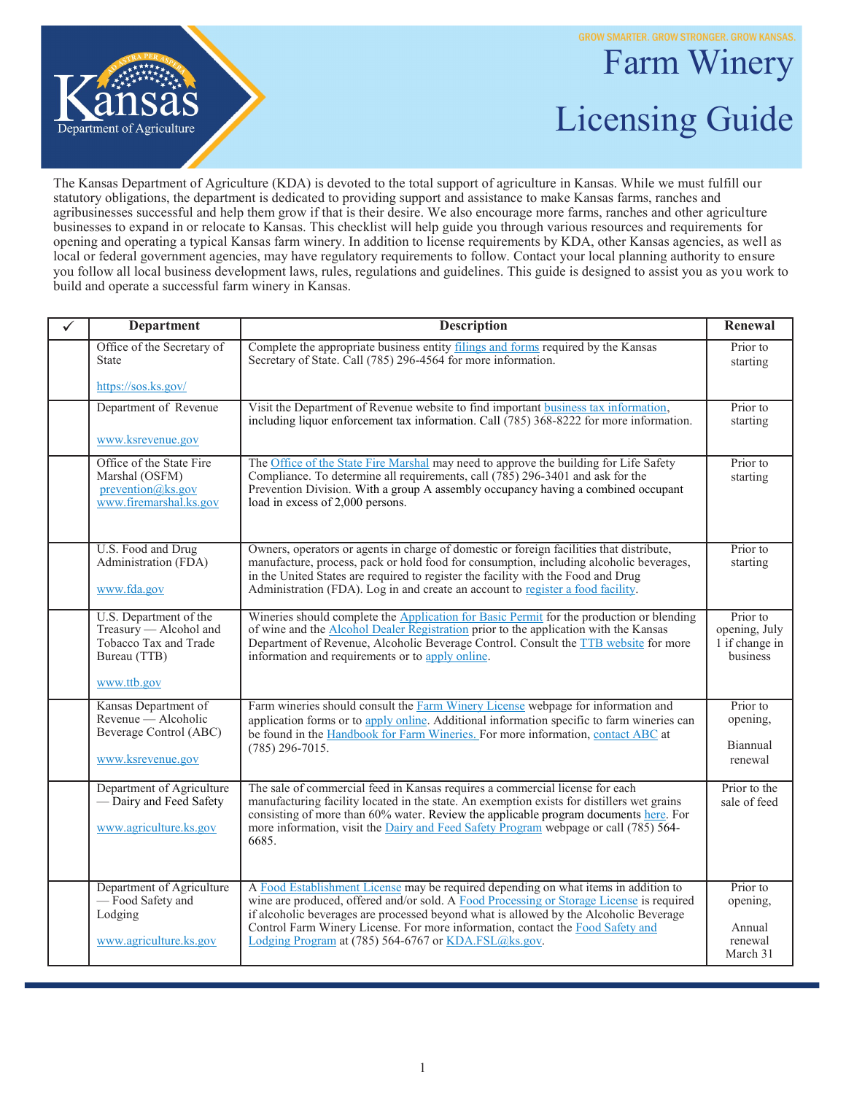**GROW SMARTER. GROW STRONGER. GROW KANSAS.** 



## Farm Winery Licensing Guide

The Kansas Department of Agriculture (KDA) is devoted to the total support of agriculture in Kansas. While we must fulfill our statutory obligations, the department is dedicated to providing support and assistance to make Kansas farms, ranches and agribusinesses successful and help them grow if that is their desire. We also encourage more farms, ranches and other agriculture businesses to expand in or relocate to Kansas. This checklist will help guide you through various resources and requirements for opening and operating a typical Kansas farm winery. In addition to license requirements by KDA, other Kansas agencies, as well as local or federal government agencies, may have regulatory requirements to follow. Contact your local planning authority to ensure you follow all local business development laws, rules, regulations and guidelines. This guide is designed to assist you as you work to build and operate a successful farm winery in Kansas.

| ✓ | <b>Department</b>                                                                                        | <b>Description</b>                                                                                                                                                                                                                                                                                                                                                                                                 | Renewal                                                 |
|---|----------------------------------------------------------------------------------------------------------|--------------------------------------------------------------------------------------------------------------------------------------------------------------------------------------------------------------------------------------------------------------------------------------------------------------------------------------------------------------------------------------------------------------------|---------------------------------------------------------|
|   | Office of the Secretary of<br><b>State</b>                                                               | Complete the appropriate business entity filings and forms required by the Kansas<br>Secretary of State. Call (785) 296-4564 for more information.                                                                                                                                                                                                                                                                 | Prior to<br>starting                                    |
|   | https://sos.ks.gov/                                                                                      |                                                                                                                                                                                                                                                                                                                                                                                                                    |                                                         |
|   | Department of Revenue                                                                                    | Visit the Department of Revenue website to find important business tax information,<br>including liquor enforcement tax information. Call (785) 368-8222 for more information.                                                                                                                                                                                                                                     | Prior to<br>starting                                    |
|   | www.ksrevenue.gov                                                                                        |                                                                                                                                                                                                                                                                                                                                                                                                                    |                                                         |
|   | Office of the State Fire<br>Marshal (OSFM)<br>prevention@ks.gov<br>www.firemarshal.ks.gov                | The Office of the State Fire Marshal may need to approve the building for Life Safety<br>Compliance. To determine all requirements, call (785) 296-3401 and ask for the<br>Prevention Division. With a group A assembly occupancy having a combined occupant<br>load in excess of 2,000 persons.                                                                                                                   | Prior to<br>starting                                    |
|   | U.S. Food and Drug<br>Administration (FDA)<br>www.fda.gov                                                | Owners, operators or agents in charge of domestic or foreign facilities that distribute,<br>manufacture, process, pack or hold food for consumption, including alcoholic beverages,<br>in the United States are required to register the facility with the Food and Drug<br>Administration (FDA). Log in and create an account to register a food facility.                                                        | Prior to<br>starting                                    |
|   | U.S. Department of the<br>Treasury - Alcohol and<br>Tobacco Tax and Trade<br>Bureau (TTB)<br>www.ttb.gov | Wineries should complete the Application for Basic Permit for the production or blending<br>of wine and the <b>Alcohol Dealer Registration</b> prior to the application with the Kansas<br>Department of Revenue, Alcoholic Beverage Control. Consult the TTB website for more<br>information and requirements or to apply online.                                                                                 | Prior to<br>opening, July<br>1 if change in<br>business |
|   | Kansas Department of<br>Revenue — Alcoholic<br>Beverage Control (ABC)<br>www.ksrevenue.gov               | Farm wineries should consult the Farm Winery License webpage for information and<br>application forms or to apply online. Additional information specific to farm wineries can<br>be found in the Handbook for Farm Wineries. For more information, contact ABC at<br>$(785)$ 296-7015.                                                                                                                            | Prior to<br>opening,<br>Biannual<br>renewal             |
|   | Department of Agriculture<br>- Dairy and Feed Safety<br>www.agriculture.ks.gov                           | The sale of commercial feed in Kansas requires a commercial license for each<br>manufacturing facility located in the state. An exemption exists for distillers wet grains<br>consisting of more than 60% water. Review the applicable program documents here. For<br>more information, visit the Dairy and Feed Safety Program webpage or call (785) 564-<br>6685.                                                | Prior to the<br>sale of feed                            |
|   | Department of Agriculture<br>- Food Safety and<br>Lodging<br>www.agriculture.ks.gov                      | A Food Establishment License may be required depending on what items in addition to<br>wine are produced, offered and/or sold. A Food Processing or Storage License is required<br>if alcoholic beverages are processed beyond what is allowed by the Alcoholic Beverage<br>Control Farm Winery License. For more information, contact the Food Safety and<br>Lodging Program at (785) 564-6767 or KDA.FSL@ks.gov. | Prior to<br>opening,<br>Annual<br>renewal<br>March 31   |